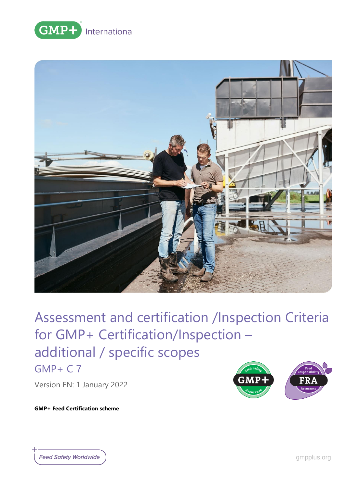



GMP+ C 7

Version EN: 1 January 2022

**GMP+ Feed Certification scheme**

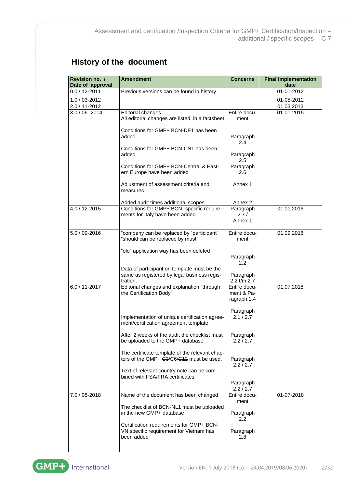# **History of the document**

| Date of approval  | Revision no. /<br><b>Amendment</b>                                                                     |                                           | <b>Final implementation</b><br>date |
|-------------------|--------------------------------------------------------------------------------------------------------|-------------------------------------------|-------------------------------------|
| $0.0 / 12 - 2011$ | Previous versions can be found in history                                                              |                                           | 01-01-2012                          |
| 1.0 / 03-2012     |                                                                                                        |                                           | 01-05-2012                          |
| 2.0 / 11-2012     |                                                                                                        |                                           | 01.03.2013                          |
| $3.0 / 06 - 2014$ | Editorial changes:<br>All editorial changes are listed in a factsheet                                  | Entire docu-<br>ment                      | 01-01-2015                          |
|                   | Conditions for GMP+ BCN-DE1 has been<br>added                                                          | Paragraph<br>2.4                          |                                     |
|                   | Conditions for GMP+ BCN-CN1 has been<br>added                                                          | Paragraph<br>2.5                          |                                     |
|                   | Conditions for GMP+ BCN-Central & East-<br>ern Europe have been added                                  | Paragraph<br>2.6                          |                                     |
|                   | Adjustment of assessment criteria and<br>measures                                                      | Annex 1                                   |                                     |
|                   | Added audit times additional scopes                                                                    | Annex 2                                   |                                     |
| 4.0 / 12-2015     | Conditions for GMP+ BCN- specific require-<br>ments for Italy have been added                          | Paragraph<br>2.7/                         | 01.01.2016                          |
|                   |                                                                                                        | Annex 1                                   |                                     |
| 5.0 / 09-2016     | "company can be replaced by "participant"<br>"should can be replaced by must"                          | Entire docu-<br>ment                      | 01.09.2016                          |
|                   | "old" application way has been deleted                                                                 | Paragraph<br>2.2                          |                                     |
|                   | Data of participant on template must be the<br>same as registered by legal business regis-<br>tration. | Paragraph<br>2.2 t/m 2.7                  |                                     |
| $6.0 / 11 - 2017$ | Editorial changes and explanation "through<br>the Certification Body"                                  | Entire docu-<br>ment & Pa-<br>ragraph 1.4 | 01.07.2018                          |
|                   | Implementation of unique certification agree-<br>ment/certification agreement template                 | Paragraph<br>2.1 / 2.7                    |                                     |
|                   | After 2 weeks of the audit the checklist must<br>be uploaded to the GMP+ database                      | Paragraph<br>2.2 / 2.7                    |                                     |
|                   | The certificate template of the relevant chap-<br>ters of the GMP+ G3/C6/G12 must be used.             | Paragraph<br>2.2/2.7                      |                                     |
|                   | Text of relevant country note can be com-<br>bined with FSA/FRA certificates                           | Paragraph                                 |                                     |
|                   |                                                                                                        | 2.2 / 2.7                                 |                                     |
| 7.0 / 05-2018     | Name of the document has been changed                                                                  | Entire docu-<br>ment                      | 01-07-2018                          |
|                   | The checklist of BCN-NL1 must be uploaded<br>in the new GMP+ database                                  | Paragraph<br>2.2                          |                                     |
|                   | Certification requirements for GMP+ BCN-<br>VN specific requirement for Vietnam has<br>been added      | Paragraph<br>2.8                          |                                     |



 $\overline{\phantom{a}}$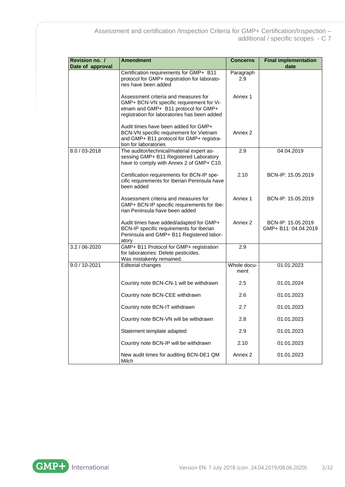| Revision no. /<br>Date of approval | <b>Amendment</b>                                                                                                                                                         | Concerns            | <b>Final implementation</b><br>date        |
|------------------------------------|--------------------------------------------------------------------------------------------------------------------------------------------------------------------------|---------------------|--------------------------------------------|
|                                    | Certification requirements for GMP+ B11<br>protocol for GMP+ registration for laborato-<br>ries have been added                                                          | Paragraph<br>2.9    |                                            |
|                                    | Assessment criteria and measures for<br>GMP+ BCN-VN specific requirement for Vi-<br>etnam and GMP+ B11 protocol for GMP+<br>registration for laboratories has been added | Annex 1             |                                            |
|                                    | Audit times have been added for GMP+<br>BCN-VN specific requirement for Vietnam<br>and GMP+ B11 protocol for GMP+ registra-<br>tion for laboratories                     | Annex <sub>2</sub>  |                                            |
| 8.0 / 03-2018                      | The auditor/technical/material expert as-<br>sessing GMP+ B11 Registered Laboratory<br>have to comply with Annex 2 of GMP+ C10.                                          | 2.9                 | 04.04.2019                                 |
|                                    | Certification requirements for BCN-IP spe-<br>cific requirements for Iberian Peninsula have<br>been added                                                                | 2.10                | BCN-IP: 15.05.2019                         |
|                                    | Assessment criteria and measures for<br>GMP+ BCN-IP specific requirements for Ibe-<br>rian Peninsula have been added                                                     | Annex 1             | BCN-IP: 15.05.2019                         |
|                                    | Audit times have added/adapted for GMP+<br>BCN-IP specific requirements for Iberian<br>Peninsula and GMP+ B11 Registered labor-<br>atory                                 | Annex 2             | BCN-IP: 15.05.2019<br>GMP+ B11: 04.04.2019 |
| 3.2 / 06-2020                      | GMP+ B11 Protocol for GMP+ registration<br>for laboratories: Delete pesticides.<br>Was mistakenly remained.                                                              | 2.9                 |                                            |
| $9.0 / 10 - 2021$                  | <b>Editorial changes</b>                                                                                                                                                 | Whole docu-<br>ment | 01.01.2023                                 |
|                                    | Country note BCN-CN-1 will be withdrawn                                                                                                                                  | 2.5                 | 01.01.2024                                 |
|                                    | Country note BCN-CEE withdrawn                                                                                                                                           | 2.6                 | 01.01.2023                                 |
|                                    | Country note BCN-IT withdrawn                                                                                                                                            | 2.7                 | 01.01.2023                                 |
|                                    | Country note BCN-VN will be withdrawn                                                                                                                                    | 2.8                 | 01.01.2023                                 |
|                                    | Statement template adapted                                                                                                                                               | 2.9                 | 01.01.2023                                 |
|                                    | Country note BCN-IP will be withdrawn                                                                                                                                    | 2.10                | 01.01.2023                                 |
|                                    | New audit times for auditing BCN-DE1 QM<br>Milch                                                                                                                         | Annex 2             | 01.01.2023                                 |

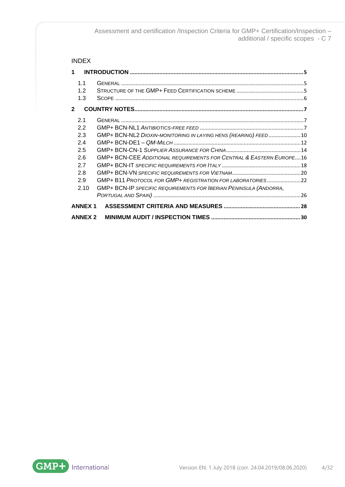# INDEX

| 1            |                   |                                                                     |  |
|--------------|-------------------|---------------------------------------------------------------------|--|
|              | 1.1<br>1.2<br>1.3 |                                                                     |  |
| $\mathbf{2}$ |                   |                                                                     |  |
|              | 2.1               |                                                                     |  |
|              | 2.2               |                                                                     |  |
|              | 2.3               | GMP+ BCN-NL2 DIOXIN-MONITORING IN LAYING HENS (REARING) FEED10      |  |
|              | 2.4               |                                                                     |  |
|              | 2.5               |                                                                     |  |
|              | 2.6               | GMP+ BCN-CEE ADDITIONAL REQUIREMENTS FOR CENTRAL & EASTERN EUROPE16 |  |
|              | 2.7               |                                                                     |  |
|              | 2.8               |                                                                     |  |
|              | 2.9               | GMP+B11 PROTOCOL FOR GMP+ REGISTRATION FOR LABORATORIES22           |  |
|              | 2.10              | GMP+ BCN-IP SPECIFIC REQUIREMENTS FOR IBERIAN PENINSULA (ANDORRA,   |  |
|              |                   |                                                                     |  |
|              | <b>ANNEX 1</b>    |                                                                     |  |
|              | <b>ANNEX 2</b>    |                                                                     |  |

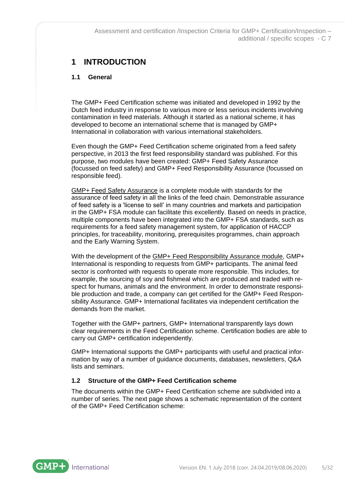# <span id="page-4-0"></span>**1 INTRODUCTION**

# <span id="page-4-1"></span>**1.1 General**

The GMP+ Feed Certification scheme was initiated and developed in 1992 by the Dutch feed industry in response to various more or less serious incidents involving contamination in feed materials. Although it started as a national scheme, it has developed to become an international scheme that is managed by GMP+ International in collaboration with various international stakeholders.

Even though the GMP+ Feed Certification scheme originated from a feed safety perspective, in 2013 the first feed responsibility standard was published. For this purpose, two modules have been created: GMP+ Feed Safety Assurance (focussed on feed safety) and GMP+ Feed Responsibility Assurance (focussed on responsible feed).

GMP+ Feed Safety Assurance is a complete module with standards for the assurance of feed safety in all the links of the feed chain. Demonstrable assurance of feed safety is a 'license to sell' in many countries and markets and participation in the GMP+ FSA module can facilitate this excellently. Based on needs in practice, multiple components have been integrated into the GMP+ FSA standards, such as requirements for a feed safety management system, for application of HACCP principles, for traceability, monitoring, prerequisites programmes, chain approach and the Early Warning System.

With the development of the GMP+ Feed Responsibility Assurance module, GMP+ International is responding to requests from GMP+ participants. The animal feed sector is confronted with requests to operate more responsible. This includes, for example, the sourcing of soy and fishmeal which are produced and traded with respect for humans, animals and the environment. In order to demonstrate responsible production and trade, a company can get certified for the GMP+ Feed Responsibility Assurance. GMP+ International facilitates via independent certification the demands from the market.

Together with the GMP+ partners, GMP+ International transparently lays down clear requirements in the Feed Certification scheme. Certification bodies are able to carry out GMP+ certification independently.

GMP+ International supports the GMP+ participants with useful and practical information by way of a number of guidance documents, databases, newsletters, Q&A lists and seminars.

# <span id="page-4-2"></span>**1.2 Structure of the GMP+ Feed Certification scheme**

The documents within the GMP+ Feed Certification scheme are subdivided into a number of series. The next page shows a schematic representation of the content of the GMP+ Feed Certification scheme:

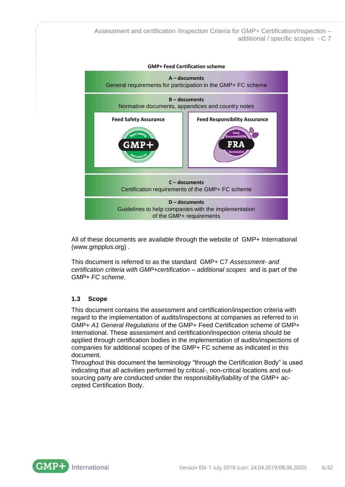

All of these documents are available through the website of GMP+ International [\(www.gmpplus.org\)](http://www.gmpplus.org/) .

This document is referred to as the standard GMP+ C7 *Assessment- and certification criteria with GMP+certification – additional scopes* and is part of the *GMP+ FC scheme*.

# <span id="page-5-0"></span>**1.3 Scope**

This document contains the assessment and certification/inspection criteria with regard to the implementation of audits/inspections at companies as referred to in GMP+ *A1 General Regulations* of the GMP+ Feed Certification scheme of GMP+ International. These assessment and certification/inspection criteria should be applied through certification bodies in the implementation of audits/inspections of companies for additional scopes of the GMP+ FC scheme as indicated in this document.

Throughout this document the terminology "through the Certification Body" is used indicating that all activities performed by critical-, non-critical locations and outsourcing party are conducted under the responsibility/liability of the GMP+ accepted Certification Body.

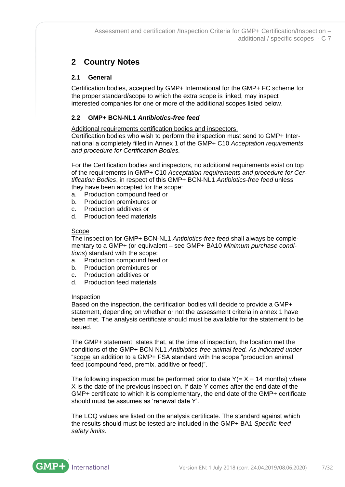# <span id="page-6-0"></span>**2 Country Notes**

# <span id="page-6-1"></span>**2.1 General**

Certification bodies, accepted by GMP+ International for the GMP+ FC scheme for the proper standard/scope to which the extra scope is linked, may inspect interested companies for one or more of the additional scopes listed below.

# <span id="page-6-2"></span>**2.2 GMP+ BCN-NL1** *Antibiotics-free feed*

Additional requirements certification bodies and inspectors.

Certification bodies who wish to perform the inspection must send to GMP+ International a completely filled in Annex 1 of the GMP+ C10 *Acceptation requirements and procedure for Certification Bodies.*

For the Certification bodies and inspectors, no additional requirements exist on top of the requirements in GMP+ C10 *Acceptation requirements and procedure for Certification Bodies*, in respect of this GMP+ BCN-NL1 *Antibiotics-free feed* unless they have been accepted for the scope:

- a. Production compound feed or
- b. Production premixtures or
- c. Production additives or
- d. Production feed materials

### Scope

The inspection for GMP+ BCN-NL1 *Antibiotics-free feed* shall always be complementary to a GMP+ (or equivalent – see GMP+ BA10 *Minimum purchase conditions*) standard with the scope:

- a. Production compound feed or
- b. Production premixtures or
- c. Production additives or
- d. Production feed materials

#### Inspection

Based on the inspection, the certification bodies will decide to provide a GMP+ statement, depending on whether or not the assessment criteria in annex 1 have been met. The analysis certificate should must be available for the statement to be issued.

The GMP+ statement, states that, at the time of inspection, the location met the conditions of the GMP+ BCN-NL1 *Antibiotics-free animal feed. As indicated under* "scope an addition to a GMP+ FSA standard with the scope "production animal feed (compound feed, premix, additive or feed)".

The following inspection must be performed prior to date  $Y (= X + 14$  months) where X is the date of the previous inspection. If date Y comes after the end date of the GMP+ certificate to which it is complementary, the end date of the GMP+ certificate should must be assumes as 'renewal date Y'.

The LOQ values are listed on the analysis certificate. The standard against which the results should must be tested are included in the GMP+ BA1 *Specific feed safety limits.*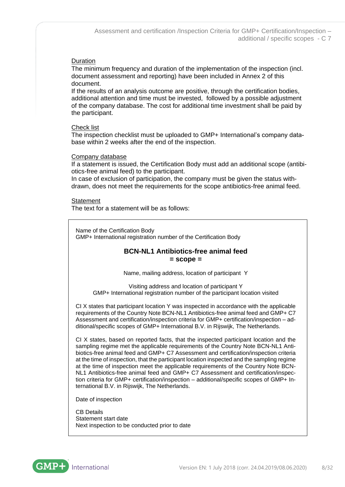# Duration

The minimum frequency and duration of the implementation of the inspection (incl. document assessment and reporting) have been included in Annex 2 of this document.

If the results of an analysis outcome are positive, through the certification bodies, additional attention and time must be invested, followed by a possible adjustment of the company database. The cost for additional time investment shall be paid by the participant.

### Check list

The inspection checklist must be uploaded to GMP+ International's company database within 2 weeks after the end of the inspection.

### Company database

If a statement is issued, the Certification Body must add an additional scope (antibiotics-free animal feed) to the participant.

In case of exclusion of participation, the company must be given the status withdrawn, does not meet the requirements for the scope antibiotics-free animal feed.

#### **Statement**

The text for a statement will be as follows:

Name of the Certification Body GMP+ International registration number of the Certification Body

# **BCN-NL1 Antibiotics-free animal feed = scope =**

Name, mailing address, location of participant Y

Visiting address and location of participant Y GMP+ International registration number of the participant location visited

CI X states that participant location Y was inspected in accordance with the applicable requirements of the Country Note BCN-NL1 Antibiotics-free animal feed and GMP+ C7 Assessment and certification/inspection criteria for GMP+ certification/inspection – additional/specific scopes of GMP+ International B.V. in Rijswijk, The Netherlands.

CI X states, based on reported facts, that the inspected participant location and the sampling regime met the applicable requirements of the Country Note BCN-NL1 Antibiotics-free animal feed and GMP+ C7 Assessment and certification/inspection criteria at the time of inspection, that the participant location inspected and the sampling regime at the time of inspection meet the applicable requirements of the Country Note BCN-NL1 Antibiotics-free animal feed and GMP+ C7 Assessment and certification/inspection criteria for GMP+ certification/inspection – additional/specific scopes of GMP+ International B.V. in Rijswijk, The Netherlands.

Date of inspection

CB Details Statement start date Next inspection to be conducted prior to date

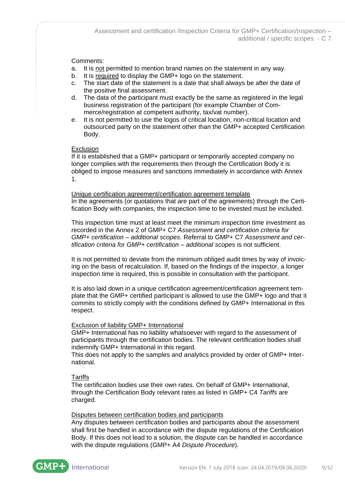# Comments:

- a. It is not permitted to mention brand names on the statement in any way.
- b. It is required to display the GMP+ logo on the statement.
- c. The start date of the statement is a date that shall always be after the date of the positive final assessment.
- d. The data of the participant must exactly be the same as registered in the legal business registration of the participant (for example Chamber of Commerce/registration at competent authority, tax/vat number).
- e. It is not permitted to use the logos of critical location, non-critical location and outsourced party on the statement other than the GMP+ accepted Certification Body.

#### Exclusion

If it is established that a GMP+ participant or temporarily accepted company no longer complies with the requirements then through the Certification Body it is obliged to impose measures and sanctions immediately in accordance with Annex 1.

Unique certification agreement/certification agreement template In the agreements (or quotations that are part of the agreements) through the Certification Body with companies, the inspection time to be invested must be included.

This inspection time must at least meet the minimum inspection time investment as recorded in the Annex 2 of GMP+ C7 *Assessment and certification criteria for GMP+ certification – additional scopes.* Referral to GMP+ C7 *Assessment and certification criteria for GMP+ certification – additional scopes* is not sufficient.

It is not permitted to deviate from the minimum obliged audit times by way of invoicing on the basis of recalculation. If, based on the findings of the inspector, a longer inspection time is required, this is possible in consultation with the participant.

It is also laid down in a unique certification agreement/certification agreement template that the GMP+ certified participant is allowed to use the GMP+ logo and that it commits to strictly comply with the conditions defined by GMP+ International in this respect.

#### Exclusion of liability GMP+ International

GMP+ International has no liability whatsoever with regard to the assessment of participants through the certification bodies. The relevant certification bodies shall indemnify GMP+ International in this regard.

This does not apply to the samples and analytics provided by order of GMP+ International.

#### **Tariffs**

The certification bodies use their own rates. On behalf of GMP+ International, through the Certification Body relevant rates as listed in GMP+ C4 *Tariffs* are charged*.*

#### Disputes between certification bodies and participants

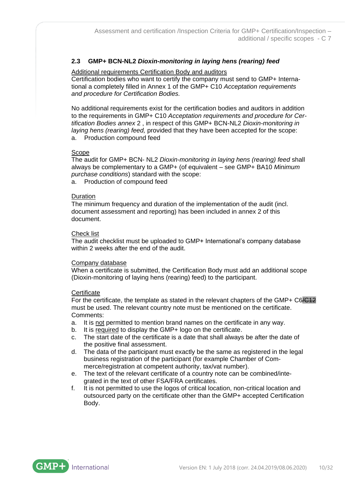# <span id="page-9-0"></span>**2.3 GMP+ BCN-NL2** *Dioxin-monitoring in laying hens (rearing) feed*

# Additional requirements Certification Body and auditors

Certification bodies who want to certify the company must send to GMP+ International a completely filled in Annex 1 of the GMP+ C10 *Acceptation requirements and procedure for Certification Bodies.*

No additional requirements exist for the certification bodies and auditors in addition to the requirements in GMP+ C10 *Acceptation requirements and procedure for Certification Bodies annex* 2 , in respect of this GMP+ BCN-NL2 *Dioxin-monitoring in laying hens (rearing) feed,* provided that they have been accepted for the scope: a. Production compound feed

# **Scope**

The audit for GMP+ BCN- NL2 *Dioxin-monitoring in laying hens (rearing) feed* shall always be complementary to a GMP+ (of equivalent – see GMP+ BA10 *Minimum purchase conditions*) standard with the scope:

a. Production of compound feed

# Duration

The minimum frequency and duration of the implementation of the audit (incl. document assessment and reporting) has been included in annex 2 of this document.

# Check list

The audit checklist must be uploaded to GMP+ International's company database within 2 weeks after the end of the audit.

# Company database

When a certificate is submitted, the Certification Body must add an additional scope (Dioxin-monitoring of laying hens (rearing) feed) to the participant.

# **Certificate**

For the certificate, the template as stated in the relevant chapters of the GMP+ C6/C12 must be used. The relevant country note must be mentioned on the certificate. Comments:

- a. It is not permitted to mention brand names on the certificate in any way.
- b. It is required to display the GMP+ logo on the certificate.
- c. The start date of the certificate is a date that shall always be after the date of the positive final assessment.
- d. The data of the participant must exactly be the same as registered in the legal business registration of the participant (for example Chamber of Commerce/registration at competent authority, tax/vat number).
- e. The text of the relevant certificate of a country note can be combined/integrated in the text of other FSA/FRA certificates.
- f. It is not permitted to use the logos of critical location, non-critical location and outsourced party on the certificate other than the GMP+ accepted Certification Body.

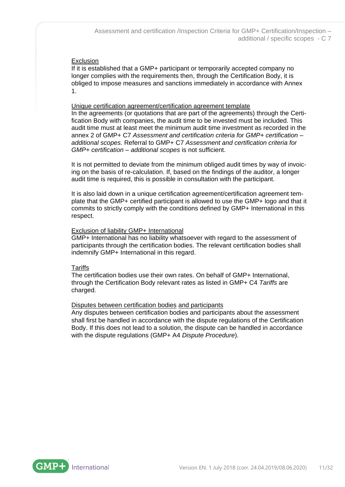# Exclusion

If it is established that a GMP+ participant or temporarily accepted company no longer complies with the requirements then, through the Certification Body, it is obliged to impose measures and sanctions immediately in accordance with Annex 1.

### Unique certification agreement/certification agreement template

In the agreements (or quotations that are part of the agreements) through the Certification Body with companies, the audit time to be invested must be included. This audit time must at least meet the minimum audit time investment as recorded in the annex 2 of GMP+ C7 *Assessment and certification criteria for GMP+ certification – additional scopes.* Referral to GMP+ C7 *Assessment and certification criteria for GMP+ certification – additional scopes* is not sufficient.

It is not permitted to deviate from the minimum obliged audit times by way of invoicing on the basis of re-calculation. If, based on the findings of the auditor, a longer audit time is required, this is possible in consultation with the participant.

It is also laid down in a unique certification agreement/certification agreement template that the GMP+ certified participant is allowed to use the GMP+ logo and that it commits to strictly comply with the conditions defined by GMP+ International in this respect.

### Exclusion of liability GMP+ International

GMP+ International has no liability whatsoever with regard to the assessment of participants through the certification bodies. The relevant certification bodies shall indemnify GMP+ International in this regard.

# **Tariffs**

The certification bodies use their own rates. On behalf of GMP+ International, through the Certification Body relevant rates as listed in GMP+ C4 *Tariffs* are charged*.*

# Disputes between certification bodies and participants

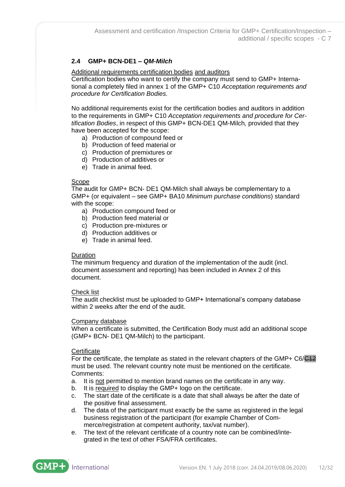# <span id="page-11-0"></span>**2.4 GMP+ BCN-DE1 –** *QM-Milch*

Additional requirements certification bodies and auditors

Certification bodies who want to certify the company must send to GMP+ International a completely filed in annex 1 of the GMP+ C10 *Acceptation requirements and procedure for Certification Bodies.*

No additional requirements exist for the certification bodies and auditors in addition to the requirements in GMP+ C10 *Acceptation requirements and procedure for Certification Bodies*, in respect of this GMP+ BCN-DE1 QM-Milch*,* provided that they have been accepted for the scope:

- a) Production of compound feed or
- b) Production of feed material or
- c) Production of premixtures or
- d) Production of additives or
- e) Trade in animal feed.

### Scope

The audit for GMP+ BCN- DE1 QM-Milch shall always be complementary to a GMP+ (or equivalent – see GMP+ BA10 *Minimum purchase conditions*) standard with the scope:

- a) Production compound feed or
- b) Production feed material or
- c) Production pre-mixtures or
- d) Production additives or
- e) Trade in animal feed.

# Duration

The minimum frequency and duration of the implementation of the audit (incl. document assessment and reporting) has been included in Annex 2 of this document.

#### Check list

The audit checklist must be uploaded to GMP+ International's company database within 2 weeks after the end of the audit.

#### Company database

When a certificate is submitted, the Certification Body must add an additional scope (GMP+ BCN- DE1 QM-Milch) to the participant.

#### **Certificate**

For the certificate, the template as stated in the relevant chapters of the GMP+ C6/C42 must be used. The relevant country note must be mentioned on the certificate. Comments:

- a. It is not permitted to mention brand names on the certificate in any way.
- b. It is required to display the GMP+ logo on the certificate.
- c. The start date of the certificate is a date that shall always be after the date of the positive final assessment.
- d. The data of the participant must exactly be the same as registered in the legal business registration of the participant (for example Chamber of Commerce/registration at competent authority, tax/vat number).
- e. The text of the relevant certificate of a country note can be combined/integrated in the text of other FSA/FRA certificates.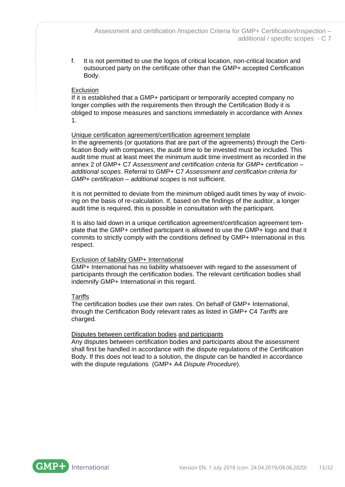f. It is not permitted to use the logos of critical location, non-critical location and outsourced party on the certificate other than the GMP+ accepted Certification Body.

### Exclusion

If it is established that a GMP+ participant or temporarily accepted company no longer complies with the requirements then through the Certification Body it is obliged to impose measures and sanctions immediately in accordance with Annex 1.

### Unique certification agreement/certification agreement template

In the agreements (or quotations that are part of the agreements) through the Certification Body with companies, the audit time to be invested must be included. This audit time must at least meet the minimum audit time investment as recorded in the annex 2 of GMP+ C7 *Assessment and certification criteria for GMP+ certification – additional scopes.* Referral to GMP+ C7 *Assessment and certification criteria for GMP+ certification – additional scopes* is not sufficient.

It is not permitted to deviate from the minimum obliged audit times by way of invoicing on the basis of re-calculation. If, based on the findings of the auditor, a longer audit time is required, this is possible in consultation with the participant.

It is also laid down in a unique certification agreement/certification agreement template that the GMP+ certified participant is allowed to use the GMP+ logo and that it commits to strictly comply with the conditions defined by GMP+ International in this respect.

#### Exclusion of liability GMP+ International

GMP+ International has no liability whatsoever with regard to the assessment of participants through the certification bodies. The relevant certification bodies shall indemnify GMP+ International in this regard.

#### **Tariffs**

The certification bodies use their own rates. On behalf of GMP+ International, through the Certification Body relevant rates as listed in GMP+ C4 *Tariffs* are charged*.*

# Disputes between certification bodies and participants

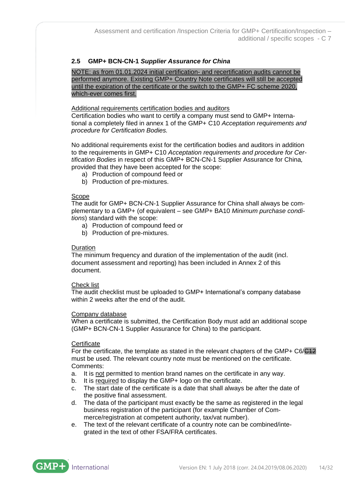# <span id="page-13-0"></span>**2.5 GMP+ BCN-CN-1** *Supplier Assurance for China*

NOTE: as from 01.01.2024 initial certification- and recertification audits cannot be performed anymore. Existing GMP+ Country Note certificates will still be accepted until the expiration of the certificate or the switch to the GMP+ FC scheme 2020, which-ever comes first.

### Additional requirements certification bodies and auditors

Certification bodies who want to certify a company must send to GMP+ International a completely filed in annex 1 of the GMP+ C10 *Acceptation requirements and procedure for Certification Bodies.*

No additional requirements exist for the certification bodies and auditors in addition to the requirements in GMP+ C10 *Acceptation requirements and procedure for Certification Bodies* in respect of this GMP+ BCN-CN-1 Supplier Assurance for China*,*  provided that they have been accepted for the scope:

- a) Production of compound feed or
- b) Production of pre-mixtures.

### Scope

The audit for GMP+ BCN-CN-1 Supplier Assurance for China shall always be complementary to a GMP+ (of equivalent – see GMP+ BA10 *Minimum purchase conditions*) standard with the scope:

- a) Production of compound feed or
- b) Production of pre-mixtures.

#### Duration

The minimum frequency and duration of the implementation of the audit (incl. document assessment and reporting) has been included in Annex 2 of this document.

#### Check list

The audit checklist must be uploaded to GMP+ International's company database within 2 weeks after the end of the audit.

#### Company database

When a certificate is submitted, the Certification Body must add an additional scope (GMP+ BCN-CN-1 Supplier Assurance for China) to the participant.

#### **Certificate**

For the certificate, the template as stated in the relevant chapters of the GMP+ C6/C12 must be used. The relevant country note must be mentioned on the certificate. Comments:

- a. It is not permitted to mention brand names on the certificate in any way.
- b. It is required to display the GMP+ logo on the certificate.
- c. The start date of the certificate is a date that shall always be after the date of the positive final assessment.
- d. The data of the participant must exactly be the same as registered in the legal business registration of the participant (for example Chamber of Commerce/registration at competent authority, tax/vat number).
- e. The text of the relevant certificate of a country note can be combined/integrated in the text of other FSA/FRA certificates.

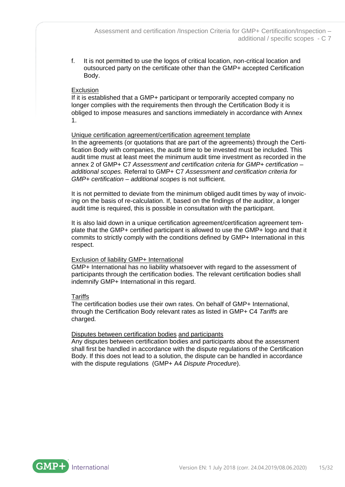f. It is not permitted to use the logos of critical location, non-critical location and outsourced party on the certificate other than the GMP+ accepted Certification Body.

### Exclusion

If it is established that a GMP+ participant or temporarily accepted company no longer complies with the requirements then through the Certification Body it is obliged to impose measures and sanctions immediately in accordance with Annex 1.

### Unique certification agreement/certification agreement template

In the agreements (or quotations that are part of the agreements) through the Certification Body with companies, the audit time to be invested must be included. This audit time must at least meet the minimum audit time investment as recorded in the annex 2 of GMP+ C7 *Assessment and certification criteria for GMP+ certification – additional scopes.* Referral to GMP+ C7 *Assessment and certification criteria for GMP+ certification – additional scopes* is not sufficient.

It is not permitted to deviate from the minimum obliged audit times by way of invoicing on the basis of re-calculation. If, based on the findings of the auditor, a longer audit time is required, this is possible in consultation with the participant.

It is also laid down in a unique certification agreement/certification agreement template that the GMP+ certified participant is allowed to use the GMP+ logo and that it commits to strictly comply with the conditions defined by GMP+ International in this respect.

#### Exclusion of liability GMP+ International

GMP+ International has no liability whatsoever with regard to the assessment of participants through the certification bodies. The relevant certification bodies shall indemnify GMP+ International in this regard.

#### **Tariffs**

The certification bodies use their own rates. On behalf of GMP+ International, through the Certification Body relevant rates as listed in GMP+ C4 *Tariffs* are charged*.*

# Disputes between certification bodies and participants

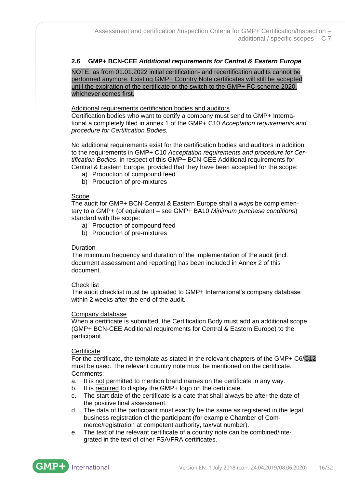# <span id="page-15-0"></span>**2.6 GMP+ BCN-CEE** *Additional requirements for Central & Eastern Europe*

NOTE: as from 01.01.2022 initial certification- and recertification audits cannot be performed anymore. Existing GMP+ Country Note certificates will still be accepted until the expiration of the certificate or the switch to the GMP+ FC scheme 2020, whichever comes first.

#### Additional requirements certification bodies and auditors

Certification bodies who want to certify a company must send to GMP+ International a completely filed in annex 1 of the GMP+ C10 *Acceptation requirements and procedure for Certification Bodies.*

No additional requirements exist for the certification bodies and auditors in addition to the requirements in GMP+ C10 *Acceptation requirements and procedure for Certification Bodies*, in respect of this GMP+ BCN-CEE Additional requirements for Central & Eastern Europe, provided that they have been accepted for the scope:

- a) Production of compound feed
- b) Production of pre-mixtures

#### Scope

The audit for GMP+ BCN-Central & Eastern Europe shall always be complementary to a GMP+ (of equivalent – see GMP+ BA10 *Minimum purchase conditions*) standard with the scope:

- a) Production of compound feed
- b) Production of pre-mixtures

#### Duration

The minimum frequency and duration of the implementation of the audit (incl. document assessment and reporting) has been included in Annex 2 of this document.

#### Check list

The audit checklist must be uploaded to GMP+ International's company database within 2 weeks after the end of the audit.

#### Company database

When a certificate is submitted, the Certification Body must add an additional scope (GMP+ BCN-CEE Additional requirements for Central & Eastern Europe) to the participant.

#### **Certificate**

For the certificate, the template as stated in the relevant chapters of the GMP+ C6/C42 must be used. The relevant country note must be mentioned on the certificate. Comments:

- a. It is not permitted to mention brand names on the certificate in any way.
- b. It is required to display the GMP+ logo on the certificate.
- c. The start date of the certificate is a date that shall always be after the date of the positive final assessment.
- d. The data of the participant must exactly be the same as registered in the legal business registration of the participant (for example Chamber of Commerce/registration at competent authority, tax/vat number).
- e. The text of the relevant certificate of a country note can be combined/integrated in the text of other FSA/FRA certificates.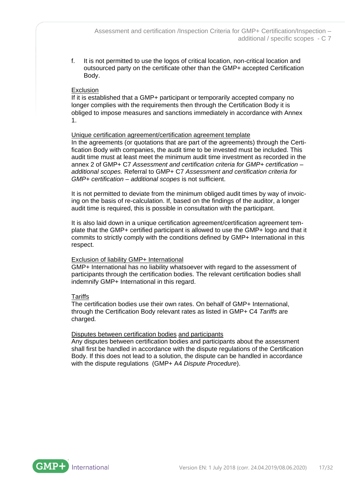f. It is not permitted to use the logos of critical location, non-critical location and outsourced party on the certificate other than the GMP+ accepted Certification Body.

### Exclusion

If it is established that a GMP+ participant or temporarily accepted company no longer complies with the requirements then through the Certification Body it is obliged to impose measures and sanctions immediately in accordance with Annex 1.

### Unique certification agreement/certification agreement template

In the agreements (or quotations that are part of the agreements) through the Certification Body with companies, the audit time to be invested must be included. This audit time must at least meet the minimum audit time investment as recorded in the annex 2 of GMP+ C7 *Assessment and certification criteria for GMP+ certification – additional scopes.* Referral to GMP+ C7 *Assessment and certification criteria for GMP+ certification – additional scopes* is not sufficient.

It is not permitted to deviate from the minimum obliged audit times by way of invoicing on the basis of re-calculation. If, based on the findings of the auditor, a longer audit time is required, this is possible in consultation with the participant.

It is also laid down in a unique certification agreement/certification agreement template that the GMP+ certified participant is allowed to use the GMP+ logo and that it commits to strictly comply with the conditions defined by GMP+ International in this respect.

#### Exclusion of liability GMP+ International

GMP+ International has no liability whatsoever with regard to the assessment of participants through the certification bodies. The relevant certification bodies shall indemnify GMP+ International in this regard.

#### **Tariffs**

The certification bodies use their own rates. On behalf of GMP+ International, through the Certification Body relevant rates as listed in GMP+ C4 *Tariffs* are charged*.*

# Disputes between certification bodies and participants

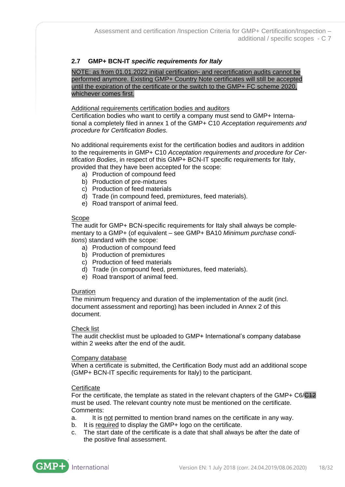# <span id="page-17-0"></span>**2.7 GMP+ BCN-IT** *specific requirements for Italy*

NOTE: as from 01.01.2022 initial certification- and recertification audits cannot be performed anymore. Existing GMP+ Country Note certificates will still be accepted until the expiration of the certificate or the switch to the GMP+ FC scheme 2020, whichever comes first.

### Additional requirements certification bodies and auditors

Certification bodies who want to certify a company must send to GMP+ International a completely filed in annex 1 of the GMP+ C10 *Acceptation requirements and procedure for Certification Bodies.*

No additional requirements exist for the certification bodies and auditors in addition to the requirements in GMP+ C10 *Acceptation requirements and procedure for Certification Bodies*, in respect of this GMP+ BCN-IT specific requirements for Italy, provided that they have been accepted for the scope:

- a) Production of compound feed
- b) Production of pre-mixtures
- c) Production of feed materials
- d) Trade (in compound feed, premixtures, feed materials).
- e) Road transport of animal feed.

#### Scope

The audit for GMP+ BCN-specific requirements for Italy shall always be complementary to a GMP+ (of equivalent – see GMP+ BA10 *Minimum purchase conditions*) standard with the scope:

- a) Production of compound feed
- b) Production of premixtures
- c) Production of feed materials
- d) Trade (in compound feed, premixtures, feed materials).
- e) Road transport of animal feed.

#### Duration

The minimum frequency and duration of the implementation of the audit (incl. document assessment and reporting) has been included in Annex 2 of this document.

#### Check list

The audit checklist must be uploaded to GMP+ International's company database within 2 weeks after the end of the audit.

#### Company database

When a certificate is submitted, the Certification Body must add an additional scope (GMP+ BCN-IT specific requirements for Italy) to the participant.

#### **Certificate**

For the certificate, the template as stated in the relevant chapters of the GMP+ C6/C42 must be used. The relevant country note must be mentioned on the certificate. Comments:

- a. It is not permitted to mention brand names on the certificate in any way.
- b. It is required to display the GMP+ logo on the certificate.
- c. The start date of the certificate is a date that shall always be after the date of the positive final assessment.

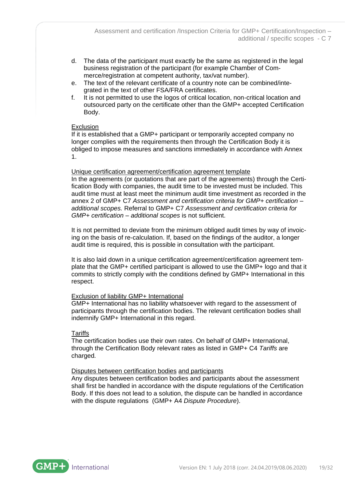- d. The data of the participant must exactly be the same as registered in the legal business registration of the participant (for example Chamber of Commerce/registration at competent authority, tax/vat number).
- e. The text of the relevant certificate of a country note can be combined/integrated in the text of other FSA/FRA certificates.
- f. It is not permitted to use the logos of critical location, non-critical location and outsourced party on the certificate other than the GMP+ accepted Certification Body.

### Exclusion

If it is established that a GMP+ participant or temporarily accepted company no longer complies with the requirements then through the Certification Body it is obliged to impose measures and sanctions immediately in accordance with Annex 1.

#### Unique certification agreement/certification agreement template

In the agreements (or quotations that are part of the agreements) through the Certification Body with companies, the audit time to be invested must be included. This audit time must at least meet the minimum audit time investment as recorded in the annex 2 of GMP+ C7 *Assessment and certification criteria for GMP+ certification – additional scopes.* Referral to GMP+ C7 *Assessment and certification criteria for GMP+ certification – additional scopes* is not sufficient.

It is not permitted to deviate from the minimum obliged audit times by way of invoicing on the basis of re-calculation. If, based on the findings of the auditor, a longer audit time is required, this is possible in consultation with the participant.

It is also laid down in a unique certification agreement/certification agreement template that the GMP+ certified participant is allowed to use the GMP+ logo and that it commits to strictly comply with the conditions defined by GMP+ International in this respect.

#### Exclusion of liability GMP+ International

GMP+ International has no liability whatsoever with regard to the assessment of participants through the certification bodies. The relevant certification bodies shall indemnify GMP+ International in this regard.

#### **Tariffs**

The certification bodies use their own rates. On behalf of GMP+ International, through the Certification Body relevant rates as listed in GMP+ C4 *Tariffs* are charged*.*

#### Disputes between certification bodies and participants

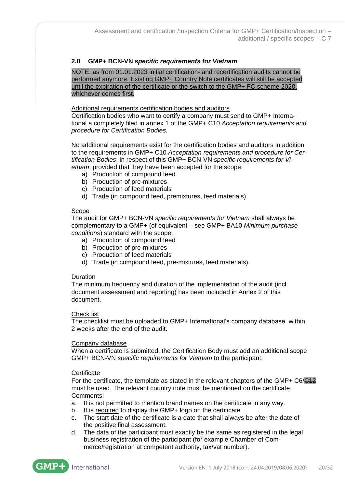# <span id="page-19-0"></span>**2.8 GMP+ BCN-VN** *specific requirements for Vietnam*

NOTE: as from 01.01.2023 initial certification- and recertification audits cannot be performed anymore. Existing GMP+ Country Note certificates will still be accepted until the expiration of the certificate or the switch to the GMP+ FC scheme 2020, whichever comes first.

### Additional requirements certification bodies and auditors

Certification bodies who want to certify a company must send to GMP+ International a completely filed in annex 1 of the GMP+ C10 *Acceptation requirements and procedure for Certification Bodies.*

No additional requirements exist for the certification bodies and auditors in addition to the requirements in GMP+ C10 *Acceptation requirements and procedure for Certification Bodies*, in respect of this GMP+ BCN-VN *specific requirements for Vietnam*, provided that they have been accepted for the scope:

- a) Production of compound feed
- b) Production of pre-mixtures
- c) Production of feed materials
- d) Trade (in compound feed, premixtures, feed materials).

#### **Scope**

The audit for GMP+ BCN-VN *specific requirements for Vietnam* shall always be complementary to a GMP+ (of equivalent – see GMP+ BA10 *Minimum purchase conditions*) standard with the scope:

- a) Production of compound feed
- b) Production of pre-mixtures
- c) Production of feed materials
- d) Trade (in compound feed, pre-mixtures, feed materials).

#### Duration

The minimum frequency and duration of the implementation of the audit (incl. document assessment and reporting) has been included in Annex 2 of this document.

#### Check list

The checklist must be uploaded to GMP+ International's company database within 2 weeks after the end of the audit.

#### Company database

When a certificate is submitted, the Certification Body must add an additional scope GMP+ BCN-VN *specific requirements for Vietnam* to the participant.

# **Certificate**

For the certificate, the template as stated in the relevant chapters of the GMP+ C6/C12 must be used. The relevant country note must be mentioned on the certificate. Comments:

- a. It is not permitted to mention brand names on the certificate in any way.
- b. It is required to display the GMP+ logo on the certificate.
- c. The start date of the certificate is a date that shall always be after the date of the positive final assessment.
- d. The data of the participant must exactly be the same as registered in the legal business registration of the participant (for example Chamber of Commerce/registration at competent authority, tax/vat number).

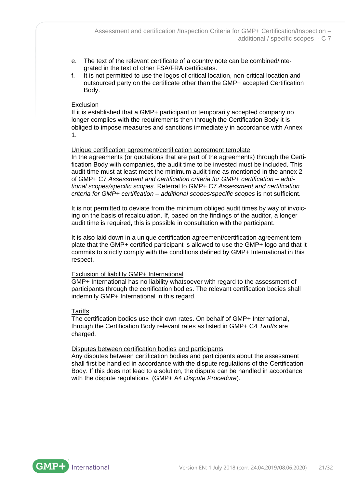- e. The text of the relevant certificate of a country note can be combined/integrated in the text of other FSA/FRA certificates.
- f. It is not permitted to use the logos of critical location, non-critical location and outsourced party on the certificate other than the GMP+ accepted Certification Body.

### **Exclusion**

If it is established that a GMP+ participant or temporarily accepted company no longer complies with the requirements then through the Certification Body it is obliged to impose measures and sanctions immediately in accordance with Annex 1.

### Unique certification agreement/certification agreement template

In the agreements (or quotations that are part of the agreements) through the Certification Body with companies, the audit time to be invested must be included. This audit time must at least meet the minimum audit time as mentioned in the annex 2 of GMP+ C7 *Assessment and certification criteria for GMP+ certification – additional scopes/specific scopes.* Referral to GMP+ C7 *Assessment and certification criteria for GMP+ certification – additional scopes/specific scopes* is not sufficient.

It is not permitted to deviate from the minimum obliged audit times by way of invoicing on the basis of recalculation. If, based on the findings of the auditor, a longer audit time is required, this is possible in consultation with the participant.

It is also laid down in a unique certification agreement/certification agreement template that the GMP+ certified participant is allowed to use the GMP+ logo and that it commits to strictly comply with the conditions defined by GMP+ International in this respect.

# Exclusion of liability GMP+ International

GMP+ International has no liability whatsoever with regard to the assessment of participants through the certification bodies. The relevant certification bodies shall indemnify GMP+ International in this regard.

#### Tariffs

The certification bodies use their own rates. On behalf of GMP+ International, through the Certification Body relevant rates as listed in GMP+ C4 *Tariffs* are charged*.*

#### Disputes between certification bodies and participants

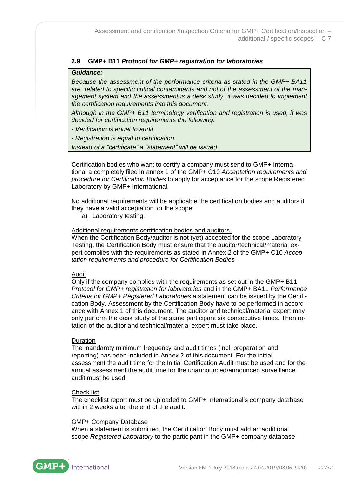# <span id="page-21-0"></span>**2.9 GMP+ B11** *Protocol for GMP+ registration for laboratories*

### *Guidance:*

*Because the assessment of the performance criteria as stated in the GMP+ BA11 are related to specific critical contaminants and not of the assessment of the management system and the assessment is a desk study, it was decided to implement the certification requirements into this document.*

*Although in the GMP+ B11 terminology verification and registration is used, it was decided for certification requirements the following:*

- *- Verification is equal to audit.*
- *- Registration is equal to certification.*

*Instead of a "certificate" a "statement" will be issued.*

Certification bodies who want to certify a company must send to GMP+ International a completely filed in annex 1 of the GMP+ C10 *Acceptation requirements and procedure for Certification Bodies* to apply for acceptance for the scope Registered Laboratory by GMP+ International.

No additional requirements will be applicable the certification bodies and auditors if they have a valid acceptation for the scope:

a) Laboratory testing.

### Additional requirements certification bodies and auditors*:*

When the Certification Body/auditor is not (yet) accepted for the scope Laboratory Testing, the Certification Body must ensure that the auditor/technical/material expert complies with the requirements as stated in Annex 2 of the GMP+ C10 *Acceptation requirements and procedure for Certification Bodies*

#### Audit

Only if the company complies with the requirements as set out in the GMP+ B11 *Protocol for GMP+ registration for laboratories* and in the GMP+ BA11 *Performance Criteria for GMP+ Registered Laboratories* a statement can be issued by the Certification Body. Assessment by the Certification Body have to be performed in accordance with Annex 1 of this document. The auditor and technical/material expert may only perform the desk study of the same participant six consecutive times. Then rotation of the auditor and technical/material expert must take place.

#### Duration

The mandaroty minimum frequency and audit times (incl. preparation and reporting) has been included in Annex 2 of this document. For the initial assessment the audit time for the Initial Certification Audit must be used and for the annual assessment the audit time for the unannounced/announced surveillance audit must be used.

#### Check list

The checklist report must be uploaded to GMP+ International's company database within 2 weeks after the end of the audit.

#### GMP+ Company Database

When a statement is submitted, the Certification Body must add an additional scope *Registered Laboratory* to the participant in the GMP+ company database.

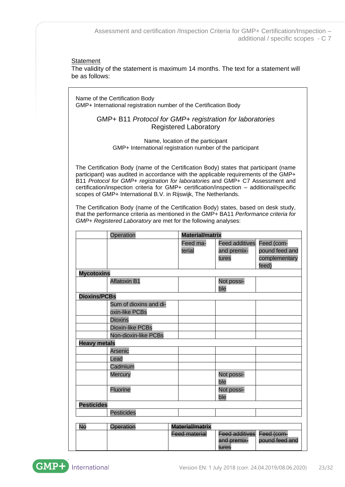#### **Statement**

The validity of the statement is maximum 14 months. The text for a statement will be as follows:

Name of the Certification Body GMP+ International registration number of the Certification Body

# GMP+ B11 *Protocol for GMP+ registration for laboratories* Registered Laboratory

Name, location of the participant GMP+ International registration number of the participant

The Certification Body (name of the Certification Body) states that participant (name participant) was audited in accordance with the applicable requirements of the GMP+ B11 *Protocol for GMP+ registration for laboratories* and GMP+ C7 Assessment and certification/inspection criteria for GMP+ certification/inspection – additional/specific scopes of GMP+ International B.V. in Rijswijk, The Netherlands.

The Certification Body (name of the Certification Body) states, based on desk study, that the performance criteria as mentioned in the GMP+ BA11 *Performance criteria for GMP+ Registered Laboratory* are met for the following analyses:

|                     | Operation               | <b>Material/matrix</b> |                       |                |  |
|---------------------|-------------------------|------------------------|-----------------------|----------------|--|
|                     |                         | Feed ma-               | <b>Feed additives</b> | Feed (com-     |  |
|                     |                         | terial                 | and premix-           | pound feed and |  |
|                     |                         |                        | tures                 | complementary  |  |
|                     |                         |                        |                       | feed)          |  |
| <b>Mycotoxins</b>   |                         |                        |                       |                |  |
|                     | <b>Aflatoxin B1</b>     |                        | Not possi-            |                |  |
|                     |                         |                        | ble                   |                |  |
| <b>Dioxins/PCBs</b> |                         |                        |                       |                |  |
|                     | Sum of dioxins and di-  |                        |                       |                |  |
|                     | oxin-like PCBs          |                        |                       |                |  |
|                     | <b>Dioxins</b>          |                        |                       |                |  |
|                     | <b>Dioxin-like PCBs</b> |                        |                       |                |  |
|                     | Non-dioxin-like PCBs    |                        |                       |                |  |
| <b>Heavy metals</b> |                         |                        |                       |                |  |
|                     | Arsenic                 |                        |                       |                |  |
|                     | Lead                    |                        |                       |                |  |
|                     | Cadmium                 |                        |                       |                |  |
|                     | <b>Mercury</b>          |                        | Not possi-            |                |  |
|                     |                         |                        | ble                   |                |  |
|                     | <b>Fluorine</b>         |                        | Not possi-            |                |  |
|                     |                         |                        | ble                   |                |  |
| <b>Pesticides</b>   |                         |                        |                       |                |  |
|                     | <b>Pesticides</b>       |                        |                       |                |  |
|                     |                         |                        |                       |                |  |
| No                  | <b>Operation</b>        | Material/matrix        |                       |                |  |
|                     |                         | <b>Feed material</b>   | <b>Feed additives</b> | Feed (com-     |  |
|                     |                         |                        | and premix-           | pound feed and |  |
|                     |                         |                        | tures                 |                |  |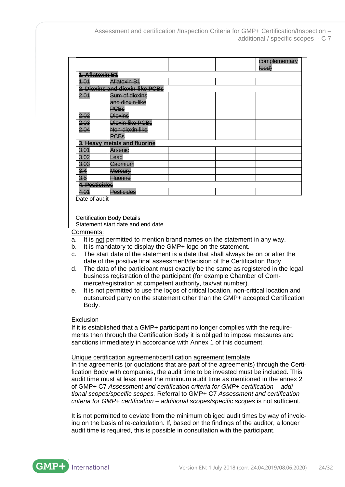|                 |                                   |  |  | complementary<br>feed) |  |
|-----------------|-----------------------------------|--|--|------------------------|--|
| 1. Aflatoxin B1 |                                   |  |  |                        |  |
| 4.01            | <b>Aflatoxin B1</b>               |  |  |                        |  |
|                 | 2. Dioxins and dioxin-like PCBs   |  |  |                        |  |
| 2.01            | Sum of dioxins<br>and dioxin-like |  |  |                        |  |
|                 | <b>PCBs</b>                       |  |  |                        |  |
| 2.02            | Dioxins                           |  |  |                        |  |
| 2.03            | Dioxin-like PCBs                  |  |  |                        |  |
| 2.04            | Non-dioxin-like<br><b>PCBs</b>    |  |  |                        |  |
|                 | 3. Heavy metals and fluorine      |  |  |                        |  |
| 3.01            | Arsenic                           |  |  |                        |  |
| 3.02            | Lead                              |  |  |                        |  |
| 3.03            | Cadmium                           |  |  |                        |  |
| 3.4             | Mercury                           |  |  |                        |  |
| 3.5             | <u>Fluorine</u>                   |  |  |                        |  |
| 4. Pesticides   |                                   |  |  |                        |  |
| 4.01            | <b>Pesticides</b>                 |  |  |                        |  |
| Date of audit   |                                   |  |  |                        |  |

Certification Body Details

Statement start date and end date

Comments:

- a. It is not permitted to mention brand names on the statement in any way.
- b. It is mandatory to display the GMP+ logo on the statement.
- c. The start date of the statement is a date that shall always be on or after the date of the positive final assessment/decision of the Certification Body.
- d. The data of the participant must exactly be the same as registered in the legal business registration of the participant (for example Chamber of Commerce/registration at competent authority, tax/vat number).
- e. It is not permitted to use the logos of critical location, non-critical location and outsourced party on the statement other than the GMP+ accepted Certification Body.

#### Exclusion

If it is established that a GMP+ participant no longer complies with the requirements then through the Certification Body it is obliged to impose measures and sanctions immediately in accordance with Annex 1 of this document.

#### Unique certification agreement/certification agreement template

In the agreements (or quotations that are part of the agreements) through the Certification Body with companies, the audit time to be invested must be included. This audit time must at least meet the minimum audit time as mentioned in the annex 2 of GMP+ C7 *Assessment and certification criteria for GMP+ certification – additional scopes/specific scopes.* Referral to GMP+ C7 *Assessment and certification criteria for GMP+ certification – additional scopes/specific scopes* is not sufficient.

It is not permitted to deviate from the minimum obliged audit times by way of invoicing on the basis of re-calculation. If, based on the findings of the auditor, a longer audit time is required, this is possible in consultation with the participant.

International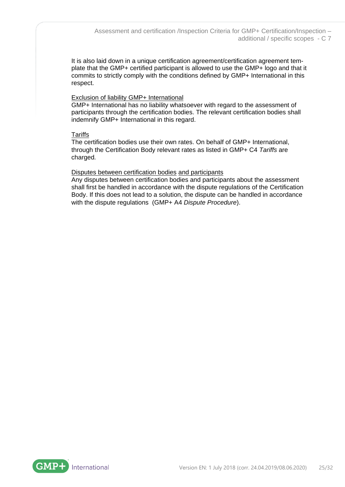It is also laid down in a unique certification agreement/certification agreement template that the GMP+ certified participant is allowed to use the GMP+ logo and that it commits to strictly comply with the conditions defined by GMP+ International in this respect.

### Exclusion of liability GMP+ International

GMP+ International has no liability whatsoever with regard to the assessment of participants through the certification bodies. The relevant certification bodies shall indemnify GMP+ International in this regard.

# **Tariffs**

The certification bodies use their own rates. On behalf of GMP+ International, through the Certification Body relevant rates as listed in GMP+ C4 *Tariffs* are charged*.*

# Disputes between certification bodies and participants

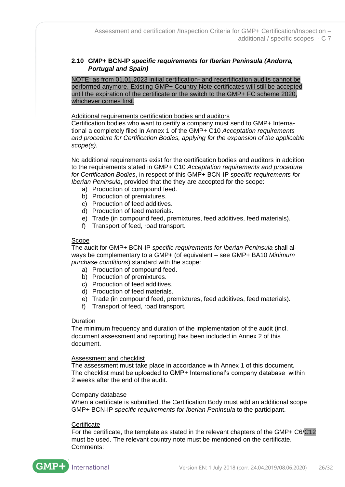# <span id="page-25-0"></span>**2.10 GMP+ BCN-IP** *specific requirements for Iberian Peninsula (Andorra, Portugal and Spain)*

NOTE: as from 01.01.2023 initial certification- and recertification audits cannot be performed anymore. Existing GMP+ Country Note certificates will still be accepted until the expiration of the certificate or the switch to the GMP+ FC scheme 2020, whichever comes first.

#### Additional requirements certification bodies and auditors

Certification bodies who want to certify a company must send to GMP+ International a completely filed in Annex 1 of the GMP+ C10 *Acceptation requirements and procedure for Certification Bodies, applying for the expansion of the applicable scope(s).*

No additional requirements exist for the certification bodies and auditors in addition to the requirements stated in GMP+ C10 *Acceptation requirements and procedure for Certification Bodies*, in respect of this GMP+ BCN-IP *specific requirements for Iberian Peninsula*, provided that the they are accepted for the scope:

- a) Production of compound feed.
- b) Production of premixtures.
- c) Production of feed additives.
- d) Production of feed materials.
- e) Trade (in compound feed, premixtures, feed additives, feed materials).
- f) Transport of feed, road transport.

#### Scope

The audit for GMP+ BCN-IP *specific requirements for Iberian Peninsula* shall always be complementary to a GMP+ (of equivalent – see GMP+ BA10 *Minimum purchase conditions*) standard with the scope:

- a) Production of compound feed.
- b) Production of premixtures.
- c) Production of feed additives.
- d) Production of feed materials.
- e) Trade (in compound feed, premixtures, feed additives, feed materials).
- f) Transport of feed, road transport.

#### Duration

The minimum frequency and duration of the implementation of the audit (incl. document assessment and reporting) has been included in Annex 2 of this document.

#### Assessment and checklist

The assessment must take place in accordance with Annex 1 of this document. The checklist must be uploaded to GMP+ International's company database within 2 weeks after the end of the audit.

#### Company database

When a certificate is submitted, the Certification Body must add an additional scope GMP+ BCN-IP *specific requirements for Iberian Peninsula* to the participant.

#### **Certificate**

For the certificate, the template as stated in the relevant chapters of the GMP+ C6/C42 must be used. The relevant country note must be mentioned on the certificate. Comments:

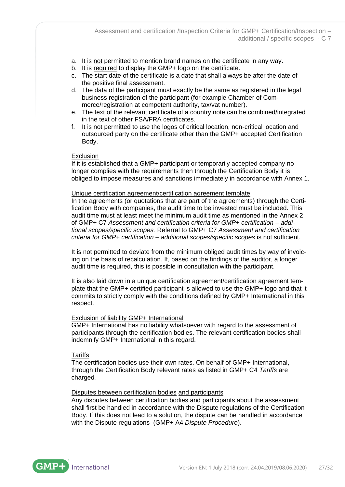- a. It is not permitted to mention brand names on the certificate in any way.
- b. It is required to display the GMP+ logo on the certificate.
- c. The start date of the certificate is a date that shall always be after the date of the positive final assessment.
- d. The data of the participant must exactly be the same as registered in the legal business registration of the participant (for example Chamber of Commerce/registration at competent authority, tax/vat number).
- e. The text of the relevant certificate of a country note can be combined/integrated in the text of other FSA/FRA certificates.
- f. It is not permitted to use the logos of critical location, non-critical location and outsourced party on the certificate other than the GMP+ accepted Certification Body.

### **Exclusion**

If it is established that a GMP+ participant or temporarily accepted company no longer complies with the requirements then through the Certification Body it is obliged to impose measures and sanctions immediately in accordance with Annex 1.

#### Unique certification agreement/certification agreement template

In the agreements (or quotations that are part of the agreements) through the Certification Body with companies, the audit time to be invested must be included. This audit time must at least meet the minimum audit time as mentioned in the Annex 2 of GMP+ C7 *Assessment and certification criteria for GMP+ certification – additional scopes/specific scopes.* Referral to GMP+ C7 *Assessment and certification criteria for GMP+ certification – additional scopes/specific scopes* is not sufficient.

It is not permitted to deviate from the minimum obliged audit times by way of invoicing on the basis of recalculation. If, based on the findings of the auditor, a longer audit time is required, this is possible in consultation with the participant.

It is also laid down in a unique certification agreement/certification agreement template that the GMP+ certified participant is allowed to use the GMP+ logo and that it commits to strictly comply with the conditions defined by GMP+ International in this respect.

# Exclusion of liability GMP+ International

GMP+ International has no liability whatsoever with regard to the assessment of participants through the certification bodies. The relevant certification bodies shall indemnify GMP+ International in this regard.

#### **Tariffs**

The certification bodies use their own rates. On behalf of GMP+ International, through the Certification Body relevant rates as listed in GMP+ C4 *Tariffs* are charged*.*

#### Disputes between certification bodies and participants

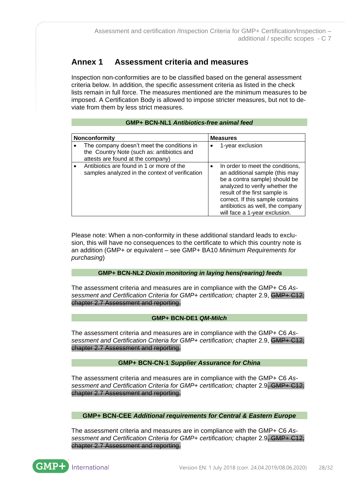# <span id="page-27-0"></span>**Annex 1 Assessment criteria and measures**

Inspection non-conformities are to be classified based on the general assessment criteria below. In addition, the specific assessment criteria as listed in the check lists remain in full force. The measures mentioned are the minimum measures to be imposed. A Certification Body is allowed to impose stricter measures, but not to deviate from them by less strict measures.

### **GMP+ BCN-NL1** *Antibiotics-free animal feed*

| Nonconformity |                                                                                                                               | <b>Measures</b> |                                                                                                                                                                                                                                                                                 |  |
|---------------|-------------------------------------------------------------------------------------------------------------------------------|-----------------|---------------------------------------------------------------------------------------------------------------------------------------------------------------------------------------------------------------------------------------------------------------------------------|--|
|               | The company doesn't meet the conditions in<br>the Country Note (such as: antibiotics and<br>attests are found at the company) |                 | 1-year exclusion                                                                                                                                                                                                                                                                |  |
|               | Antibiotics are found in 1 or more of the<br>samples analyzed in the context of verification                                  |                 | In order to meet the conditions,<br>an additional sample (this may<br>be a contra sample) should be<br>analyzed to verify whether the<br>result of the first sample is<br>correct. If this sample contains<br>antibiotics as well, the company<br>will face a 1-year exclusion. |  |

Please note: When a non-conformity in these additional standard leads to exclusion, this will have no consequences to the certificate to which this country note is an addition (GMP+ or equivalent – see GMP+ BA10 *Minimum Requirements for purchasing*)

# **GMP+ BCN-NL2** *Dioxin monitoring in laying hens(rearing) feeds*

The assessment criteria and measures are in compliance with the GMP+ C6 *Assessment and Certification Criteria for GMP+ certification;* chapter 2.9, GMP+ C12; chapter 2.7 Assessment and reporting.

# **GMP+ BCN-DE1** *QM-Milch*

The assessment criteria and measures are in compliance with the GMP+ C6 *Assessment and Certification Criteria for GMP+ certification;* chapter 2.9, GMP+ C12; chapter 2.7 Assessment and reporting.

# **GMP+ BCN-CN-1** *Supplier Assurance for China*

The assessment criteria and measures are in compliance with the GMP+ C6 *Assessment and Certification Criteria for GMP+ certification;* chapter 2.9, GMP+ C12; chapter 2.7 Assessment and reporting.

**GMP+ BCN-CEE** *Additional requirements for Central & Eastern Europe*

The assessment criteria and measures are in compliance with the GMP+ C6 *Assessment and Certification Criteria for GMP+ certification;* chapter 2.9, GMP+ C12; chapter 2.7 Assessment and reporting.



International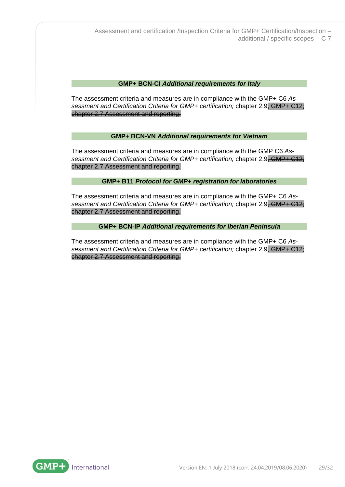#### **GMP+ BCN-CI** *Additional requirements for Italy*

The assessment criteria and measures are in compliance with the GMP+ C6 *Assessment and Certification Criteria for GMP+ certification;* chapter 2.9, GMP+ C12; chapter 2.7 Assessment and reporting.

### **GMP+ BCN-VN** *Additional requirements for Vietnam*

The assessment criteria and measures are in compliance with the GMP C6 *Assessment and Certification Criteria for GMP+ certification;* chapter 2.9, GMP+ C12; chapter 2.7 Assessment and reporting.

### **GMP+ B11** *Protocol for GMP+ registration for laboratories*

The assessment criteria and measures are in compliance with the GMP+ C6 *Assessment and Certification Criteria for GMP+ certification;* chapter 2.9, GMP+ C12; chapter 2.7 Assessment and reporting.

### **GMP+ BCN-IP** *Additional requirements for Iberian Peninsula*

The assessment criteria and measures are in compliance with the GMP+ C6 *Assessment and Certification Criteria for GMP+ certification;* chapter 2.9, GMP+ C12; chapter 2.7 Assessment and reporting.

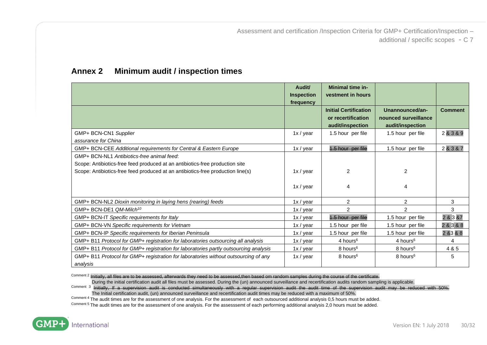**Audit/ Inspection frequency Minimal time investment in hours Initial Certification or recertification audit/inspection Unannounced/announced surveillance audit/inspection Comment** GMP+ BCN-CN1 *Supplier assurance for China*  $1x / year$  1.5 hour per file 1.5 hour per file 2 & 3 & 9 GMP+ BCN-CEE *Additional requirements for Central & Eastern Europe* 1x/ year 1.5 hour per file 1.5 hour per file 2 & 3 & 7 GMP+ BCN-NL1 *Antibiotics-free animal feed*: Scope: Antibiotics-free feed produced at an antibiotics-free production site Scope: Antibiotics-free feed produced at an antibiotics-free production line(s) 1x / year 1x / year  $\mathfrak{p}$ 4  $\mathfrak{p}$ 4 GMP+ BCN-NL2 *Dioxin monitoring in laying hens (rearing) feeds* 1x 1x / year 2 2 3 3 GMP+ BCN-DE1 Q*M-Milch<sup>10</sup>* 3 GMP+ BCN-IT *Specific requirements for Italy* 1x / year 1.5 hour per file 1.5 hour per file 2 & 3 &7 GMP+ BCN-VN Specific requirements for Vietnam 100 m and 1x / year 1.5 hour per file 1.5 hour per file 2 & 3 & 8 GMP+ BCN-IP *Specific requirements for Iberian Peninsula* 1 1 1 1x / year 1.5 hour per file 1.5 hour per file 2 &3 & 8 GMP+ B11 *Protocol for GMP+ registration for laboratories outsourcing all analysis* 1x / year 4 hours<sup>6</sup> 4 hours<sup>6</sup> 4 hours<sup>6</sup> GMP+ B11 *Protocol for GMP+ registration for laboratories partly outsourcing analysis* 1x/year 8 hours<sup>6</sup> 8 hours<sup>6</sup> 8 hours<sup>6</sup> GMP+ B11 *Protocol for GMP+ registration for laboratories without outsourcing of any analysis*  $1x / year$  8 hours<sup>6</sup> 8 hours<sup>6</sup> 5

# **Annex 2 Minimum audit / inspection times**

<span id="page-29-0"></span>Comment 2 Initially, all files are to be assessed, afterwards they need to be assessed, then based om random samples during the course of the certificate.

During the initial certification audit all files must be assessed. During the (un) announced surveillance and recertification audits random sampling is applicable.

Comment 3 Initially, If a supervision audit is conducted simultaneously with a regular supervision audit the audit time of the supervision audit may be reduced with 50%. The Initial certification audit, (un) announced surveillance and recertification audit times may be reduced with a maximum of 50%.

Comment 4 The audit times are for the assessment of one analysis. For the assessment of each outsourced additional analysis 0,5 hours must be added.

Comment 5 The audit times are for the assessment of one analysis. For the assesssemt of each performing additional analysis 2,0 hours must be added.

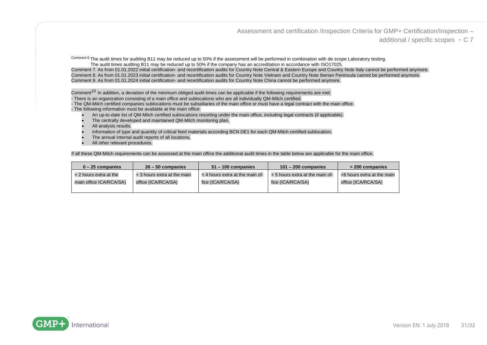Assessment and certification /Inspection Criteria for GMP+ Certification/Inspection –

additional / specific scopes - C 7

Comment 6 The audit times for auditing B11 may be reduced up to 50% if the assessment will be performed in combination with de scope Laboratory testing. The audit times auditing B11 may be reduced up to 50% if the company has an accreditation in accordance with ISO17025.

Comment 7. As from 01.01.2022 initial certification- and recertification audits for Country Note Central & Eastern Europe and Country Note Italy cannot be performed anymore. Comment 8. As from 01.01.2023 initial certification- and recertification audits for Country Note Vietnam and Country Note Iberian Peninsula cannot be performed anymore. Comment 9. As from 01.01.2024 initial certification- and recertification audits for Country Note China cannot be performed anymore.

Comment<sup>10</sup> In addition, a deviation of the minimum obliged audit times can be applicable if the following requirements are met:

- There is an organization consisting of a main office and sublocations who are all individually QM-Milch certified.

- The QM-Milch certified companies sublocations must be subsidiaries of the main office or must have a legal contract with the main office.

- The following information must be available at the main office:
	- An up-to-date list of QM-Milch certified sublocations resorting under the main office, including legal contracts (if applicable).
	- The centrally developed and maintained QM-Milch monitoring plan.
	- All analysis results.
	- Information of type and quantity of critical feed materials according BCN DE1 for each QM-Milch certified sublocation,
	- The annual internal audit reports of all locations.
	- All other relevant procedures.

If all these QM-Milch requirements can be assessed at the main office the additional audit times in the table below are applicable for the main office.

| $0 - 25$ companies      | $26 - 50$ companies         | $51 - 100$ companies            | $101 - 200$ companies           | $>$ 200 companies          |
|-------------------------|-----------------------------|---------------------------------|---------------------------------|----------------------------|
| + 2 hours extra at the  | + 3 hours extra at the main | + 4 hours extra at the main of- | + 5 hours extra at the main of- | +6 hours extra at the main |
| main office ICA/RCA/SA) | office (ICA/RCA/SA)         | fice (ICA/RCA/SA)               | fice (ICA/RCA/SA)               | office (ICA/RCA/SA)        |
|                         |                             |                                 |                                 |                            |